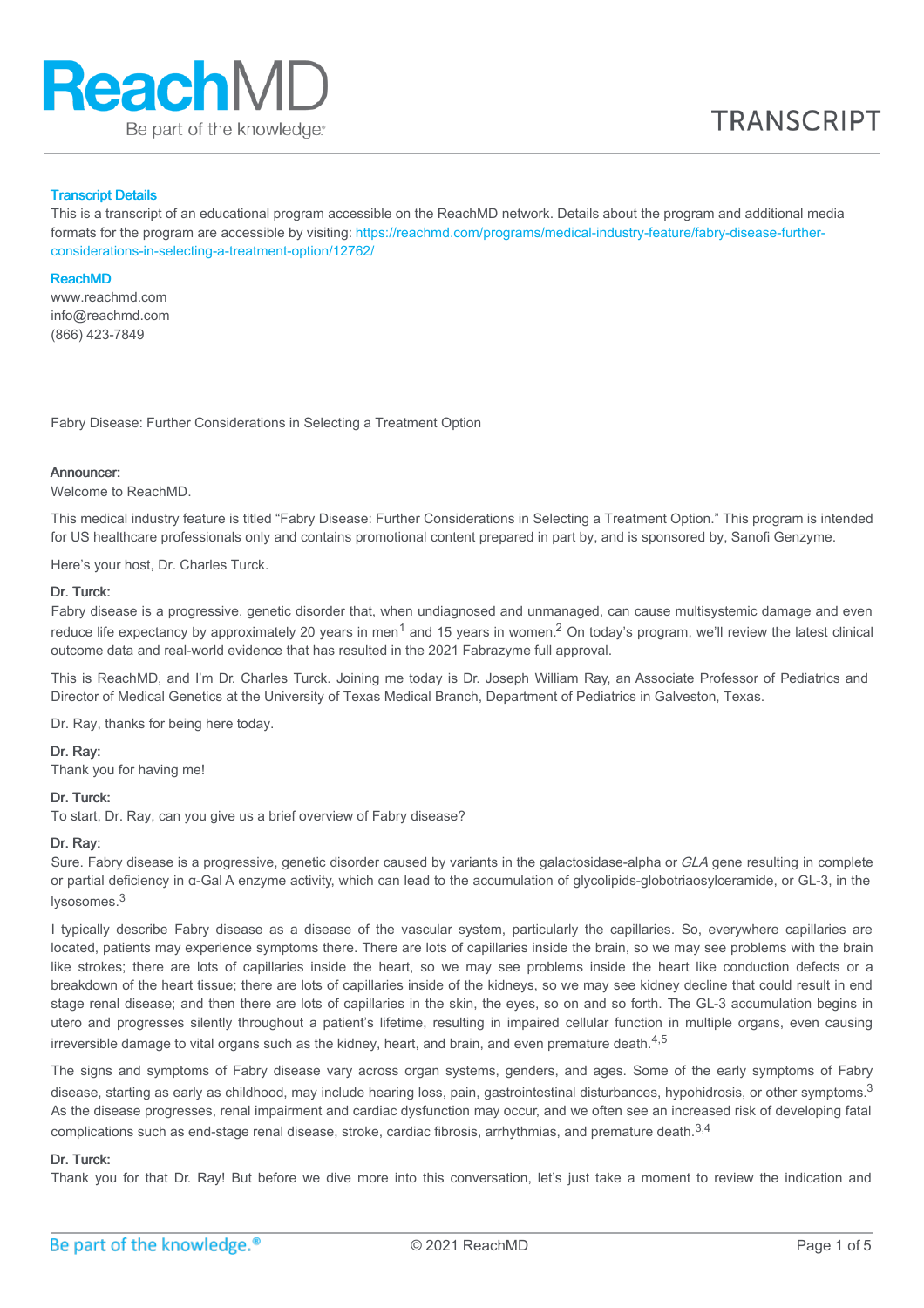

## Transcript Details

This is a transcript of an educational program accessible on the ReachMD network. Details about the program and additional media formats for the program are accessible by visiting: [https://reachmd.com/programs/medical-industry-feature/fabry-disease-further](https://reachmd.com/programs/medical-industry-feature/fabry-disease-further-considerations-in-selecting-a-treatment-option/12762/)considerations-in-selecting-a-treatment-option/12762/

#### ReachMD

www.reachmd.com info@reachmd.com (866) 423-7849

Fabry Disease: Further Considerations in Selecting a Treatment Option

#### **Announcer:**

Welcome to ReachMD.

This medical industry feature is titled "Fabry Disease: Further Considerations in Selecting a Treatment Option." This program is intended for US healthcare professionals only and contains promotional content prepared in part by, and is sponsored by, Sanofi Genzyme.

Here's your host, Dr. Charles Turck.

### Dr. Turck:

Fabry disease is a progressive, genetic disorder that, when undiagnosed and unmanaged, can cause multisystemic damage and even reduce life expectancy by approximately 20 years in men<sup>1</sup> and 15 years in women.<sup>2</sup> On today's program, we'll review the latest clinical outcome data and real-world evidence that has resulted in the 2021 Fabrazyme full approval.

This is ReachMD, and I'm Dr. Charles Turck. Joining me today is Dr. Joseph William Ray, an Associate Professor of Pediatrics and Director of Medical Genetics at the University of Texas Medical Branch, Department of Pediatrics in Galveston, Texas.

Dr. Ray, thanks for being here today.

## Dr. Ray:

Thank you for having me!

#### Dr. Turck:

To start, Dr. Ray, can you give us a brief overview of Fabry disease?

### Dr. Ray:

Sure. Fabry disease is a progressive, genetic disorder caused by variants in the galactosidase-alpha or GLA gene resulting in complete or partial deficiency in α-Gal A enzyme activity, which can lead to the accumulation of glycolipids-globotriaosylceramide, or GL-3, in the lysosomes.<sup>3</sup>

I typically describe Fabry disease as a disease of the vascular system, particularly the capillaries. So, everywhere capillaries are located, patients may experience symptoms there. There are lots of capillaries inside the brain, so we may see problems with the brain like strokes; there are lots of capillaries inside the heart, so we may see problems inside the heart like conduction defects or a breakdown of the heart tissue; there are lots of capillaries inside of the kidneys, so we may see kidney decline that could result in end stage renal disease; and then there are lots of capillaries in the skin, the eyes, so on and so forth. The GL-3 accumulation begins in utero and progresses silently throughout a patient's lifetime, resulting in impaired cellular function in multiple organs, even causing irreversible damage to vital organs such as the kidney, heart, and brain, and even premature death. $^{\rm 4,5}$ 

The signs and symptoms of Fabry disease vary across organ systems, genders, and ages. Some of the early symptoms of Fabry disease, starting as early as childhood, may include hearing loss, pain, gastrointestinal disturbances, hypohidrosis, or other symptoms. $^3$ As the disease progresses, renal impairment and cardiac dysfunction may occur, and we often see an increased risk of developing fatal complications such as end-stage renal disease, stroke, cardiac fibrosis, arrhythmias, and premature death.<sup>3,4</sup>

## Dr. Turck:

Thank you for that Dr. Ray! But before we dive more into this conversation, let's just take a moment to review the indication and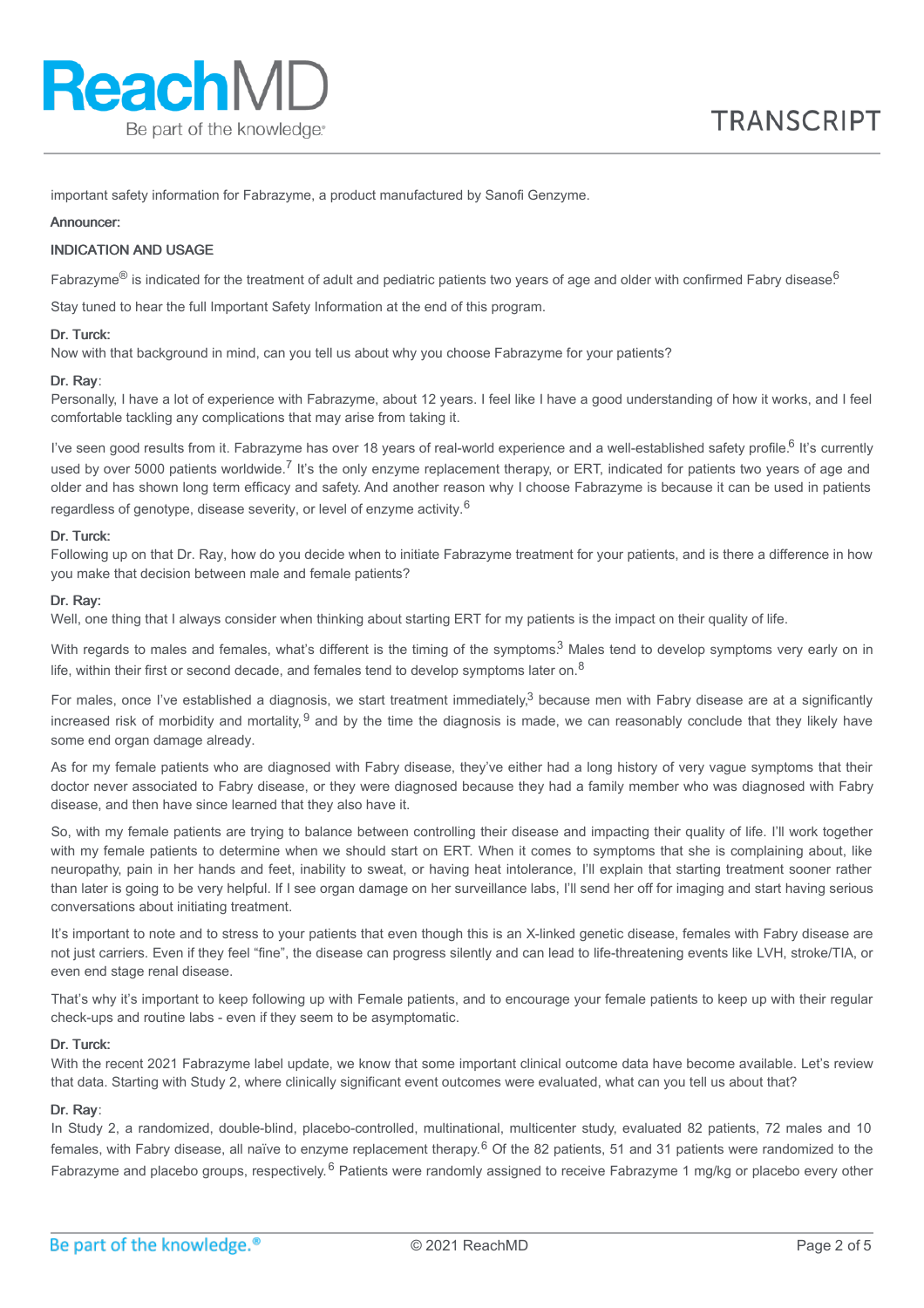important safety information for Fabrazyme, a product manufactured by Sanofi Genzyme.

### Announcer:

## INDICATION AND USAGE

Fabrazyme® is indicated for the treatment of adult and pediatric patients two years of age and older with confirmed Fabry disease.<sup>6</sup>

Stay tuned to hear the full Important Safety Information at the end of this program.

### Dr. Turck:

Now with that background in mind, can you tell us about why you choose Fabrazyme for your patients?

### Dr. Ray:

Personally, I have a lot of experience with Fabrazyme, about 12 years. I feel like I have a good understanding of how it works, and I feel comfortable tackling any complications that may arise from taking it.

I've seen good results from it. Fabrazyme has over 18 years of real-world experience and a well-established safety profile.<sup>6</sup> It's currently used by over 5000 patients worldwide.<sup>7</sup> It's the only enzyme replacement therapy, or ERT, indicated for patients two years of age and older and has shown long term efficacy and safety. And another reason why I choose Fabrazyme is because it can be used in patients regardless of genotype, disease severity, or level of enzyme activity.<sup>6</sup>

### Dr. Turck:

Following up on that Dr. Ray, how do you decide when to initiate Fabrazyme treatment for your patients, and is there a difference in how you make that decision between male and female patients?

### Dr. Ray:

Well, one thing that I always consider when thinking about starting ERT for my patients is the impact on their quality of life.

With regards to males and females, what's different is the timing of the symptoms.<sup>3</sup> Males tend to develop symptoms very early on in life, within their first or second decade, and females tend to develop symptoms later on.<sup>8</sup>

For males, once I've established a diagnosis, we start treatment immediately,<sup>3</sup> because men with Fabry disease are at a significantly increased risk of morbidity and mortality, <sup>9</sup> and by the time the diagnosis is made, we can reasonably conclude that they likely have some end organ damage already.

As for my female patients who are diagnosed with Fabry disease, they've either had a long history of very vague symptoms that their doctor never associated to Fabry disease, or they were diagnosed because they had a family member who was diagnosed with Fabry disease, and then have since learned that they also have it.

So, with my female patients are trying to balance between controlling their disease and impacting their quality of life. I'll work together with my female patients to determine when we should start on ERT. When it comes to symptoms that she is complaining about, like neuropathy, pain in her hands and feet, inability to sweat, or having heat intolerance, I'll explain that starting treatment sooner rather than later is going to be very helpful. If I see organ damage on her surveillance labs, I'll send her off for imaging and start having serious conversations about initiating treatment.

It's important to note and to stress to your patients that even though this is an X-linked genetic disease, females with Fabry disease are not just carriers. Even if they feel "fine", the disease can progress silently and can lead to life-threatening events like LVH, stroke/TIA, or even end stage renal disease.

That's why it's important to keep following up with Female patients, and to encourage your female patients to keep up with their regular check-ups and routine labs - even if they seem to be asymptomatic.

## Dr. Turck:

With the recent 2021 Fabrazyme label update, we know that some important clinical outcome data have become available. Let's review that data. Starting with Study 2, where clinically significant event outcomes were evaluated, what can you tell us about that?

## Dr. Ray:

In Study 2, a randomized, double-blind, placebo-controlled, multinational, multicenter study, evaluated 82 patients, 72 males and 10 females, with Fabry disease, all naïve to enzyme replacement therapy.<sup>6</sup> Of the 82 patients, 51 and 31 patients were randomized to the Fabrazyme and placebo groups, respectively.<sup>6</sup> Patients were randomly assigned to receive Fabrazyme 1 mg/kg or placebo every other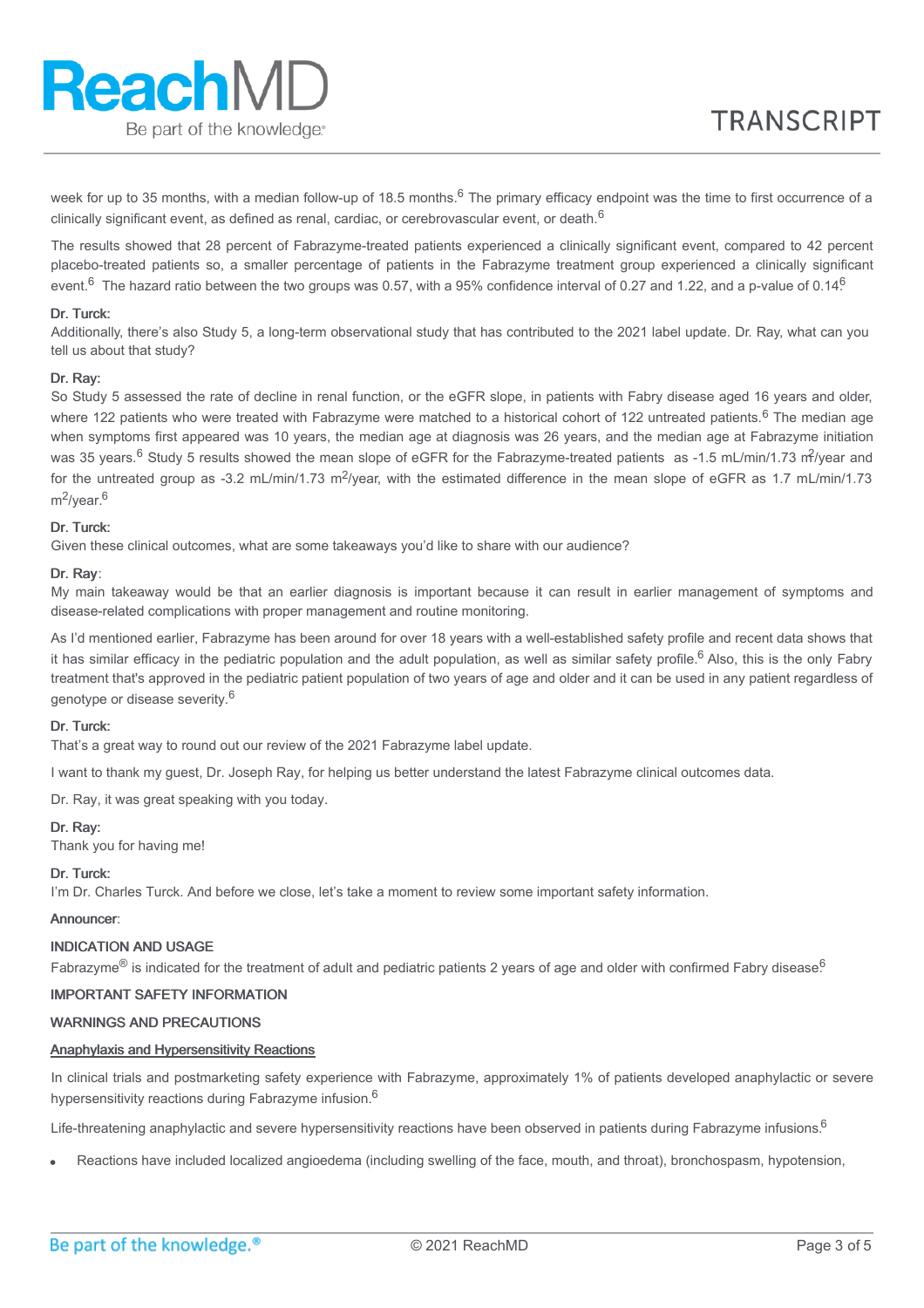week for up to 35 months, with a median follow-up of 18.5 months.<sup>6</sup> The primary efficacy endpoint was the time to first occurrence of a clinically significant event, as defined as renal, cardiac, or cerebrovascular event, or death.  $^6$ 

The results showed that 28 percent of Fabrazyme-treated patients experienced a clinically significant event, compared to 42 percent placebo-treated patients so, a smaller percentage of patients in the Fabrazyme treatment group experienced a clinically significant event.<sup>6</sup> The hazard ratio between the two groups was 0.57, with a 95% confidence interval of 0.27 and 1.22, and a p-value of 0.14<sup>6</sup>

## Dr. Turck:

Additionally, there's also Study 5, a long-term observational study that has contributed to the 2021 label update. Dr. Ray, what can you tell us about that study?

## Dr. Ray:

So Study 5 assessed the rate of decline in renal function, or the eGFR slope, in patients with Fabry disease aged 16 years and older, where 122 patients who were treated with Fabrazyme were matched to a historical cohort of 122 untreated patients.<sup>6</sup> The median age when symptoms first appeared was 10 years, the median age at diagnosis was 26 years, and the median age at Fabrazyme initiation was 35 years.<sup>6</sup> Study 5 results showed the mean slope of eGFR for the Fabrazyme-treated patients as -1.5 mL/min/1.73 m<sup>2</sup>/year and for the untreated group as -3.2 mL/min/1.73 m<sup>2</sup>/year, with the estimated difference in the mean slope of eGFR as 1.7 mL/min/1.73 m<sup>2</sup>/year.<sup>6</sup>

## Dr. Turck:

Given these clinical outcomes, what are some takeaways you'd like to share with our audience?

## Dr. Ray:

My main takeaway would be that an earlier diagnosis is important because it can result in earlier management of symptoms and disease-related complications with proper management and routine monitoring.

As I'd mentioned earlier, Fabrazyme has been around for over 18 years with a well-established safety profile and recent data shows that it has similar efficacy in the pediatric population and the adult population, as well as similar safety profile.<sup>6</sup> Also, this is the only Fabry treatment that's approved in the pediatric patient population of two years of age and older and it can be used in any patient regardless of genotype or disease severity.<sup>6</sup>

## Dr. Turck:

That's a great way to round out our review of the 2021 Fabrazyme label update.

I want to thank my guest, Dr. Joseph Ray, for helping us better understand the latest Fabrazyme clinical outcomes data.

Dr. Ray, it was great speaking with you today.

## Dr. Ray:

Thank you for having me!

# Dr. Turck:

I'm Dr. Charles Turck. And before we close, let's take a moment to review some important safety information.

# Announcer:

# INDICATION AND USAGE

Fabrazyme® is indicated for the treatment of adult and pediatric patients 2 years of age and older with confirmed Fabry disease.<sup>6</sup>

# IMPORTANT SAFETY INFORMATION

# WARNINGS AND PRECAUTIONS

# Anaphylaxis and Hypersensitivity Reactions

In clinical trials and postmarketing safety experience with Fabrazyme, approximately 1% of patients developed anaphylactic or severe hypersensitivity reactions during Fabrazyme infusion.<sup>6</sup>

Life-threatening anaphylactic and severe hypersensitivity reactions have been observed in patients during Fabrazyme infusions.<sup>6</sup>

Reactions have included localized angioedema (including swelling of the face, mouth, and throat), bronchospasm, hypotension,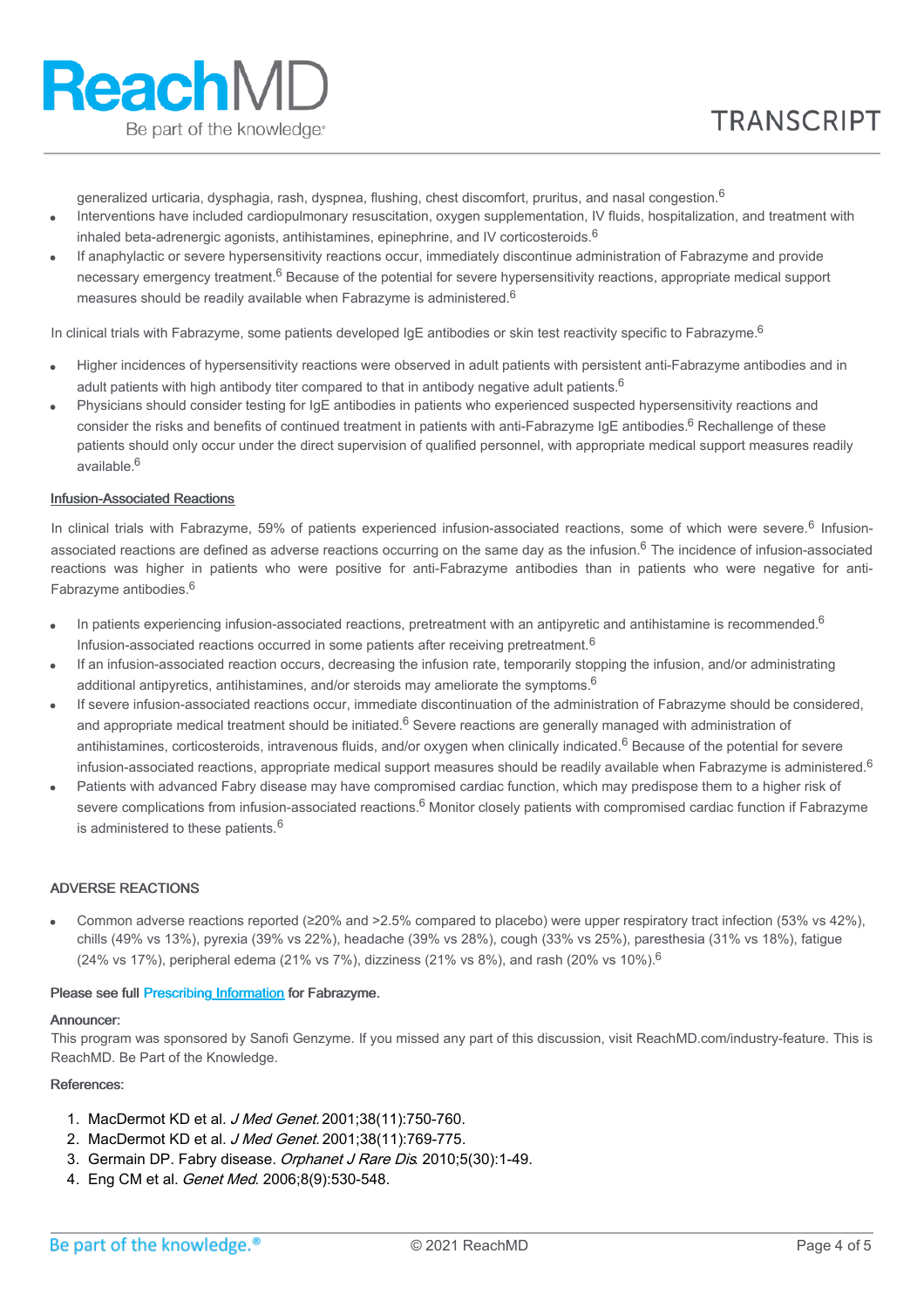generalized urticaria, dysphagia, rash, dyspnea, flushing, chest discomfort, pruritus, and nasal congestion. $^6$ 

- Interventions have included cardiopulmonary resuscitation, oxygen supplementation, IV fluids, hospitalization, and treatment with inhaled beta-adrenergic agonists, antihistamines, epinephrine, and IV corticosteroids.<sup>6</sup>
- If anaphylactic or severe hypersensitivity reactions occur, immediately discontinue administration of Fabrazyme and provide necessary emergency treatment.<sup>6</sup> Because of the potential for severe hypersensitivity reactions, appropriate medical support measures should be readily available when Fabrazyme is administered.<sup>6</sup>

In clinical trials with Fabrazyme, some patients developed IgE antibodies or skin test reactivity specific to Fabrazyme.<sup>6</sup>

- Higher incidences of hypersensitivity reactions were observed in adult patients with persistent anti-Fabrazyme antibodies and in adult patients with high antibody titer compared to that in antibody negative adult patients.<sup>6</sup>
- Physicians should consider testing for IgE antibodies in patients who experienced suspected hypersensitivity reactions and consider the risks and benefits of continued treatment in patients with anti-Fabrazyme IgE antibodies.<sup>6</sup> Rechallenge of these patients should only occur under the direct supervision of qualified personnel, with appropriate medical support measures readily available. 6

## Infusion-Associated Reactions

In clinical trials with Fabrazyme, 59% of patients experienced infusion-associated reactions, some of which were severe.<sup>6</sup> Infusionassociated reactions are defined as adverse reactions occurring on the same day as the infusion. <sup>6</sup> The incidence of infusion-associated reactions was higher in patients who were positive for anti-Fabrazyme antibodies than in patients who were negative for anti-Fabrazyme antibodies.<sup>6</sup>

- In patients experiencing infusion-associated reactions, pretreatment with an antipyretic and antihistamine is recommended.<sup>6</sup> Infusion-associated reactions occurred in some patients after receiving pretreatment.<sup>6</sup>
- If an infusion-associated reaction occurs, decreasing the infusion rate, temporarily stopping the infusion, and/or administrating additional antipyretics, antihistamines, and/or steroids may ameliorate the symptoms.<sup>6</sup>
- If severe infusion-associated reactions occur, immediate discontinuation of the administration of Fabrazyme should be considered, and appropriate medical treatment should be initiated.<sup>6</sup> Severe reactions are generally managed with administration of antihistamines, corticosteroids, intravenous fluids, and/or oxygen when clinically indicated.<sup>6</sup> Because of the potential for severe infusion-associated reactions, appropriate medical support measures should be readily available when Fabrazyme is administered.<sup>6</sup>
- Patients with advanced Fabry disease may have compromised cardiac function, which may predispose them to a higher risk of severe complications from infusion-associated reactions.<sup>6</sup> Monitor closely patients with compromised cardiac function if Fabrazyme is administered to these patients.<sup>6</sup>

## ADVERSE REACTIONS

Common adverse reactions reported (≥20% and >2.5% compared to placebo) were upper respiratory tract infection (53% vs 42%), chills (49% vs 13%), pyrexia (39% vs 22%), headache (39% vs 28%), cough (33% vs 25%), paresthesia (31% vs 18%), fatigue (24% vs 17%), peripheral edema (21% vs 7%), dizziness (21% vs 8%), and rash (20% vs 10%).<sup>6</sup>

## Please see full [Prescribing](https://products.sanofi.us/Fabrazyme/Fabrazyme.pdf) Information for Fabrazyme.

#### Announcer:

This program was sponsored by Sanofi Genzyme. If you missed any part of this discussion, visit ReachMD.com/industry-feature. This is ReachMD. Be Part of the Knowledge.

## References:

- 1. MacDermot KD et al. J Med Genet. 2001;38(11):750-760.
- 2. MacDermot KD et al. J Med Genet. 2001;38(11):769-775.
- 3. Germain DP. Fabry disease. Orphanet J Rare Dis. 2010;5(30):1-49.
- 4. Eng CM et al. Genet Med. 2006;8(9):530-548.